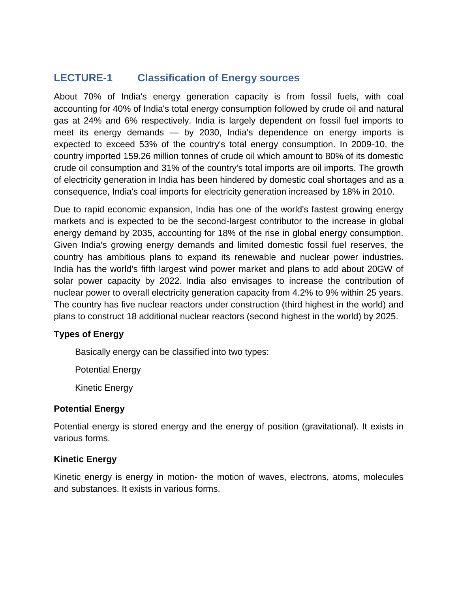# **LECTURE-1 Classification of Energy sources**

About 70% of India's energy generation capacity is from fossil fuels, with coal accounting for 40% of India's total energy consumption followed by crude oil and natural gas at 24% and 6% respectively. India is largely dependent on fossil fuel imports to meet its energy demands — by 2030, India's dependence on energy imports is expected to exceed 53% of the country's total energy consumption. In 2009-10, the country imported 159.26 million tonnes of crude oil which amount to 80% of its domestic crude oil consumption and 31% of the country's total imports are oil imports. The growth of electricity generation in India has been hindered by domestic coal shortages and as a consequence, India's coal imports for electricity generation increased by 18% in 2010.

Due to rapid economic expansion, India has one of the world's fastest growing energy markets and is expected to be the second-largest contributor to the increase in global energy demand by 2035, accounting for 18% of the rise in global energy consumption. Given India's growing energy demands and limited domestic fossil fuel reserves, the country has ambitious plans to expand its renewable and nuclear power industries. India has the world's fifth largest wind power market and plans to add about 20GW of solar power capacity by 2022. India also envisages to increase the contribution of nuclear power to overall electricity generation capacity from 4.2% to 9% within 25 years. The country has five nuclear reactors under construction (third highest in the world) and plans to construct 18 additional nuclear reactors (second highest in the world) by 2025.

# **Types of Energy**

Basically energy can be classified into two types:

Potential Energy

Kinetic Energy

# **Potential Energy**

Potential energy is stored energy and the energy of position (gravitational). It exists in various forms.

# **Kinetic Energy**

Kinetic energy is energy in motion- the motion of waves, electrons, atoms, molecules and substances. It exists in various forms.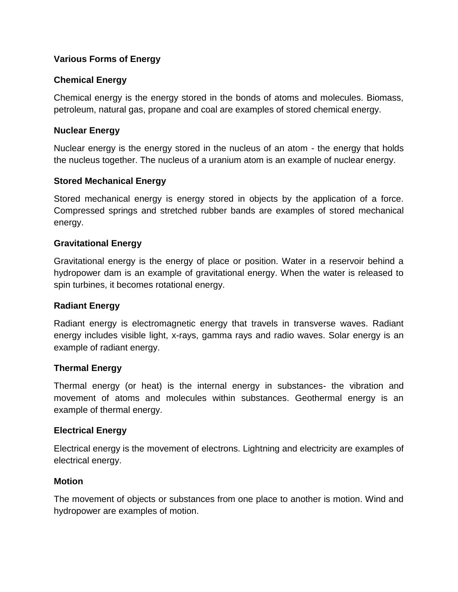# **Various Forms of Energy**

## **Chemical Energy**

Chemical energy is the energy stored in the bonds of atoms and molecules. Biomass, petroleum, natural gas, propane and coal are examples of stored chemical energy.

#### **Nuclear Energy**

Nuclear energy is the energy stored in the nucleus of an atom - the energy that holds the nucleus together. The nucleus of a uranium atom is an example of nuclear energy.

#### **Stored Mechanical Energy**

Stored mechanical energy is energy stored in objects by the application of a force. Compressed springs and stretched rubber bands are examples of stored mechanical energy.

#### **Gravitational Energy**

Gravitational energy is the energy of place or position. Water in a reservoir behind a hydropower dam is an example of gravitational energy. When the water is released to spin turbines, it becomes rotational energy.

#### **Radiant Energy**

Radiant energy is electromagnetic energy that travels in transverse waves. Radiant energy includes visible light, x-rays, gamma rays and radio waves. Solar energy is an example of radiant energy.

#### **Thermal Energy**

Thermal energy (or heat) is the internal energy in substances- the vibration and movement of atoms and molecules within substances. Geothermal energy is an example of thermal energy.

#### **Electrical Energy**

Electrical energy is the movement of electrons. Lightning and electricity are examples of electrical energy.

#### **Motion**

The movement of objects or substances from one place to another is motion. Wind and hydropower are examples of motion.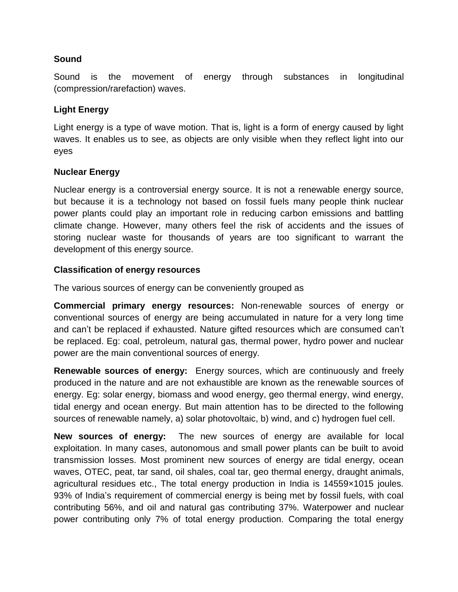#### **Sound**

Sound is the movement of energy through substances in longitudinal (compression/rarefaction) waves.

# **Light Energy**

Light energy is a type of wave motion. That is, light is a form of energy caused by light waves. It enables us to see, as objects are only visible when they reflect light into our eyes

# **Nuclear Energy**

Nuclear energy is a controversial energy source. It is not a renewable energy source, but because it is a technology not based on fossil fuels many people think nuclear power plants could play an important role in reducing carbon emissions and battling climate change. However, many others feel the risk of accidents and the issues of storing nuclear waste for thousands of years are too significant to warrant the development of this energy source.

## **Classification of energy resources**

The various sources of energy can be conveniently grouped as

**Commercial primary energy resources:** Non-renewable sources of energy or conventional sources of energy are being accumulated in nature for a very long time and can't be replaced if exhausted. Nature gifted resources which are consumed can't be replaced. Eg: coal, petroleum, natural gas, thermal power, hydro power and nuclear power are the main conventional sources of energy.

**Renewable sources of energy:** Energy sources, which are continuously and freely produced in the nature and are not exhaustible are known as the renewable sources of energy. Eg: solar energy, biomass and wood energy, geo thermal energy, wind energy, tidal energy and ocean energy. But main attention has to be directed to the following sources of renewable namely, a) solar photovoltaic, b) wind, and c) hydrogen fuel cell.

**New sources of energy:** The new sources of energy are available for local exploitation. In many cases, autonomous and small power plants can be built to avoid transmission losses. Most prominent new sources of energy are tidal energy, ocean waves, OTEC, peat, tar sand, oil shales, coal tar, geo thermal energy, draught animals, agricultural residues etc., The total energy production in India is 14559×1015 joules. 93% of India's requirement of commercial energy is being met by fossil fuels, with coal contributing 56%, and oil and natural gas contributing 37%. Waterpower and nuclear power contributing only 7% of total energy production. Comparing the total energy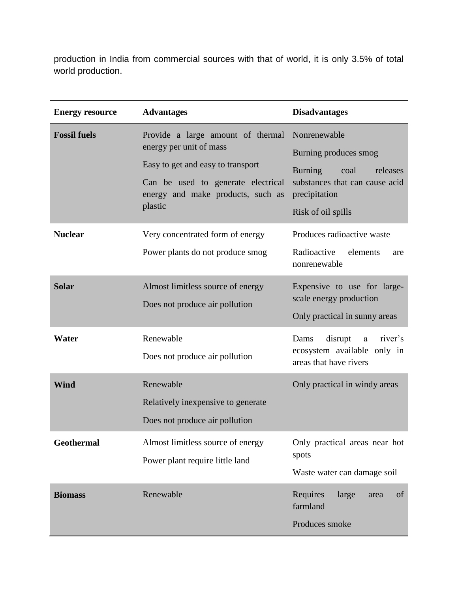production in India from commercial sources with that of world, it is only 3.5% of total world production.

| <b>Energy resource</b> | <b>Advantages</b>                                                                                                                                                                       | <b>Disadvantages</b>                                                                                                                                 |
|------------------------|-----------------------------------------------------------------------------------------------------------------------------------------------------------------------------------------|------------------------------------------------------------------------------------------------------------------------------------------------------|
| <b>Fossil fuels</b>    | Provide a large amount of thermal<br>energy per unit of mass<br>Easy to get and easy to transport<br>Can be used to generate electrical<br>energy and make products, such as<br>plastic | Nonrenewable<br>Burning produces smog<br><b>Burning</b><br>coal<br>releases<br>substances that can cause acid<br>precipitation<br>Risk of oil spills |
| <b>Nuclear</b>         | Very concentrated form of energy<br>Power plants do not produce smog                                                                                                                    | Produces radioactive waste<br>Radioactive<br>elements<br>are<br>nonrenewable                                                                         |
| <b>Solar</b>           | Almost limitless source of energy<br>Does not produce air pollution                                                                                                                     | Expensive to use for large-<br>scale energy production<br>Only practical in sunny areas                                                              |
| Water                  | Renewable<br>Does not produce air pollution                                                                                                                                             | disrupt<br>river's<br>Dams<br>a<br>ecosystem available only in<br>areas that have rivers                                                             |
| Wind                   | Renewable<br>Relatively in expensive to generate<br>Does not produce air pollution                                                                                                      | Only practical in windy areas                                                                                                                        |
| Geothermal             | Almost limitless source of energy<br>Power plant require little land                                                                                                                    | Only practical areas near hot<br>spots<br>Waste water can damage soil                                                                                |
| <b>Biomass</b>         | Renewable                                                                                                                                                                               | Requires<br>large<br>of<br>area<br>farmland<br>Produces smoke                                                                                        |